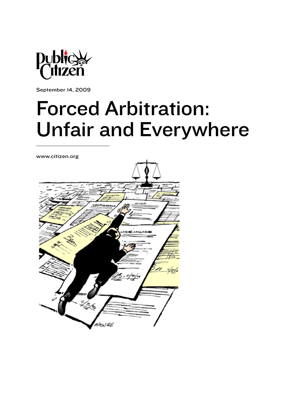

September 14, 2009

# Forced Arbitration: Unfair and Everywhere

www.citizen.org

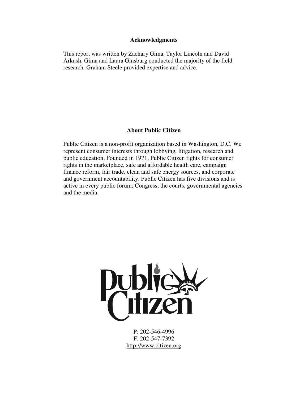#### **Acknowledgments**

This report was written by Zachary Gima, Taylor Lincoln and David Arkush. Gima and Laura Ginsburg conducted the majority of the field research. Graham Steele provided expertise and advice.

#### **About Public Citizen**

Public Citizen is a non-profit organization based in Washington, D.C. We represent consumer interests through lobbying, litigation, research and public education. Founded in 1971, Public Citizen fights for consumer rights in the marketplace, safe and affordable health care, campaign finance reform, fair trade, clean and safe energy sources, and corporate and government accountability. Public Citizen has five divisions and is active in every public forum: Congress, the courts, governmental agencies and the media.



P: 202-546-4996 F: 202-547-7392 http://www.citizen.org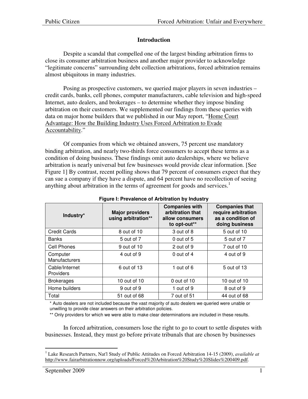## **Introduction**

Despite a scandal that compelled one of the largest binding arbitration firms to close its consumer arbitration business and another major provider to acknowledge "legitimate concerns" surrounding debt collection arbitrations, forced arbitration remains almost ubiquitous in many industries.

Posing as prospective customers, we queried major players in seven industries – credit cards, banks, cell phones, computer manufacturers, cable television and high-speed Internet, auto dealers, and brokerages – to determine whether they impose binding arbitration on their customers. We supplemented our findings from these queries with data on major home builders that we published in our May report, "Home Court [Advantage: How the Building Industry Uses Forced Arbitration to Evade](http://www.fairarbitrationnow.org/uploads/HomeCourtAdvantage.pdf)  [Accountability.](http://www.fairarbitrationnow.org/uploads/HomeCourtAdvantage.pdf)"

Of companies from which we obtained answers, 75 percent use mandatory binding arbitration, and nearly two-thirds force consumers to accept these terms as a condition of doing business. These findings omit auto dealerships, where we believe arbitration is nearly universal but few businesses would provide clear information. [See Figure 1] By contrast, recent polling shows that 79 percent of consumers expect that they can sue a company if they have a dispute, and 64 percent have no recollection of seeing anything about arbitration in the terms of agreement for goods and services.<sup>1</sup>

| Industry*                        | <b>Major providers</b><br>using arbitration** | <b>Companies with</b><br>arbitration that<br>allow consumers<br>to opt-out** | <b>Companies that</b><br>require arbitration<br>as a condition of<br>doing business |  |
|----------------------------------|-----------------------------------------------|------------------------------------------------------------------------------|-------------------------------------------------------------------------------------|--|
| <b>Credit Cards</b>              | 8 out of 10                                   | 3 out of 8                                                                   | 5 out of 10                                                                         |  |
| <b>Banks</b>                     | 5 out of 7                                    | 0 out of 5                                                                   | 5 out of 7                                                                          |  |
| Cell Phones                      | 9 out of 10                                   | 2 out of 9                                                                   | 7 out of 10                                                                         |  |
| Computer<br><b>Manufacturers</b> | 4 out of 9                                    | $0$ out of 4                                                                 | 4 out of 9                                                                          |  |
| Cable/Internet<br>Providers      | 6 out of 13                                   | 1 out of 6                                                                   | 5 out of 13                                                                         |  |
| <b>Brokerages</b>                | 10 out of 10                                  | 0 out of 10                                                                  | 10 out of 10                                                                        |  |
| Home builders                    | 9 out of 9                                    | 1 out of 9                                                                   | 8 out of 9                                                                          |  |
| Total                            | 51 out of 68                                  | 7 out of 51                                                                  | 44 out of 68                                                                        |  |

#### **Figure I: Prevalence of Arbitration by Industry**

\* Auto dealers are not included because the vast majority of auto dealers we queried were unable or unwilling to provide clear answers on their arbitration policies.

\*\* Only providers for which we were able to make clear determinations are included in these results.

In forced arbitration, consumers lose the right to go to court to settle disputes with businesses. Instead, they must go before private tribunals that are chosen by businesses

 1 Lake Research Partners, Nat'l Study of Public Attitudes on Forced Arbitration 14-15 (2009), *available at* http://www.fairarbitrationnow.org/uploads/Forced%20Arbitration%20Study%20Slides%200409.pdf.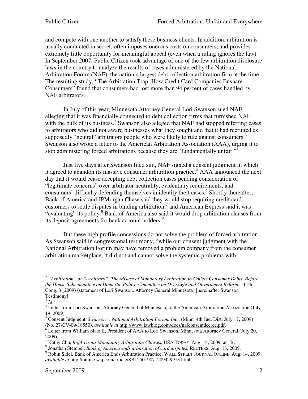and compete with one another to satisfy these business clients. In addition, arbitration is usually conducted in secret, often imposes onerous costs on consumers, and provides extremely little opportunity for meaningful appeal (even when a ruling ignores the law). In September 2007, Public Citizen took advantage of one of the few arbitration disclosure laws in the country to analyze the results of cases administered by the National Arbitration Forum (NAF), the nation's largest debt collection arbitration firm at the time. The resulting study, ["The Arbitration Trap: How Credit Card Companies Ensnare](http://www.citizen.org/documents/ArbitrationTrap.pdf)  [Consumers"](http://www.citizen.org/documents/ArbitrationTrap.pdf) found that consumers had lost more than 94 percent of cases handled by NAF arbitrators.

In July of this year, Minnesota Attorney General Lori Swanson sued NAF, alleging that it was financially connected to debt collection firms that furnished NAF with the bulk of its business.<sup>2</sup> Swanson also alleged that NAF had stopped referring cases to arbitrators who did not award businesses what they sought and that it had recruited as supposedly "neutral" arbitrators people who were likely to rule against consumers.<sup>3</sup> Swanson also wrote a letter to the American Arbitration Association (AAA), urging it to stop administering forced arbitrations because they are "fundamentally unfair."<sup>4</sup>

Just five days after Swanson filed suit, NAF signed a consent judgment in which it agreed to abandon its massive consumer arbitration practice.<sup>5</sup> AAA announced the next day that it would cease accepting debt collection cases pending consideration of "legitimate concerns" over arbitrator neutrality, evidentiary requirements, and consumers' difficulty defending themselves in identity theft cases.<sup>6</sup> Shortly thereafter, Bank of America and JPMorgan Chase said they would stop requiring credit card customers to settle disputes in binding arbitration,<sup>7</sup> and American Express said it was "evaluating" its policy.<sup>8</sup> Bank of America also said it would drop arbitration clauses from its deposit agreements for bank account holders.<sup>9</sup>

But these high profile concessions do not solve the problem of forced arbitration. As Swanson said in congressional testimony, "while our consent judgment with the National Arbitration Forum may have removed a problem company from the consumer arbitration marketplace, it did not and cannot solve the systemic problems with

 2 *"Arbitration" or "Arbitrary": The Misuse of Mandatory Arbitration to Collect Consumer Debts. Before the House Subcommittee on Domestic Policy, Committee on Oversight and Government Reform*, 111th Cong. 3 (2009) (statement of Lori Swanson, Attorney General Minnesota) [hereinafter Swanson Testimony].

<sup>3</sup> *Id*.

<sup>&</sup>lt;sup>4</sup> Letter from Lori Swanson, Attorney General of Minnesota, to the American Arbitration Association (July 19, 2009).

<sup>5</sup> Consent Judgment, *Swanson v. National Arbitration Forum, Inc*., (Minn. 4th Jud. Dist. July 17, 2009) (No. 27-CV-09-18550), *available at* http://www.lawblog.com/docs/nafconsentdecree.pdf.

<sup>&</sup>lt;sup>6</sup> Letter from William Slate II, President of AAA to Lori Swanson, Minnesota Attorney General (July 20, 2009).

<sup>7</sup> Kathy Chu, *BofA Drops Mandatory Arbitration Clauses*, USA TODAY, Aug. 14, 2009, at 1B.

<sup>8</sup> Jonathan Stempel, *Bank of America ends arbitration of card disputes*, REUTERS, Aug. 13, 2009.

<sup>&</sup>lt;sup>9</sup> Robin Sidel, Bank of America Ends Arbitration Practice, WALL STREET JOURNAL ONLINE, Aug. 14, 2009, *available at* http://online.wsj.com/article/SB125019071289429913.html*.*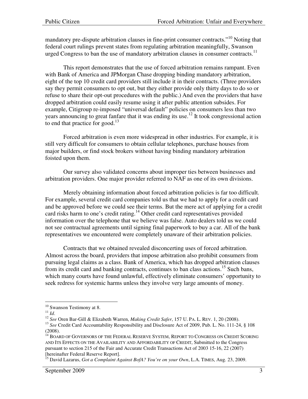mandatory pre-dispute arbitration clauses in fine-print consumer contracts."<sup>10</sup> Noting that federal court rulings prevent states from regulating arbitration meaningfully, Swanson urged Congress to ban the use of mandatory arbitration clauses in consumer contracts.<sup>11</sup>

This report demonstrates that the use of forced arbitration remains rampant. Even with Bank of America and JPMorgan Chase dropping binding mandatory arbitration, eight of the top 10 credit card providers still include it in their contracts. (Three providers say they permit consumers to opt out, but they either provide only thirty days to do so or refuse to share their opt-out procedures with the public.) And even the providers that have dropped arbitration could easily resume using it after public attention subsides. For example, Citigroup re-imposed "universal default" policies on consumers less than two years announcing to great fanfare that it was ending its use.<sup>12</sup> It took congressional action to end that practice for good.<sup>13</sup>

Forced arbitration is even more widespread in other industries. For example, it is still very difficult for consumers to obtain cellular telephones, purchase houses from major builders, or find stock brokers without having binding mandatory arbitration foisted upon them.

Our survey also validated concerns about improper ties between businesses and arbitration providers. One major provider referred to NAF as one of its own divisions.

Merely obtaining information about forced arbitration policies is far too difficult. For example, several credit card companies told us that we had to apply for a credit card and be approved before we could see their terms. But the mere act of applying for a credit card risks harm to one's credit rating.<sup>14</sup> Other credit card representatives provided information over the telephone that we believe was false. Auto dealers told us we could not see contractual agreements until signing final paperwork to buy a car. All of the bank representatives we encountered were completely unaware of their arbitration policies.

Contracts that we obtained revealed disconcerting uses of forced arbitration. Almost across the board, providers that impose arbitration also prohibit consumers from pursuing legal claims as a class. Bank of America, which has dropped arbitration clauses from its credit card and banking contracts, continues to ban class actions.<sup>15</sup> Such bans, which many courts have found unlawful, effectively eliminate consumers' opportunity to seek redress for systemic harms unless they involve very large amounts of money.

<sup>&</sup>lt;sup>10</sup> Swanson Testimony at 8.

 $11 \,$ *Id.* 

<sup>12</sup> *See* Oren Bar-Gill & Elizabeth Warren, *Making Credit Safer*, 157 U. PA. L. REV. 1, 20 (2008).

<sup>&</sup>lt;sup>13</sup> See Credit Card Accountability Responsibility and Disclosure Act of 2009, Pub. L. No. 111-24, § 108 (2008).

 $^{14}$  BOARD OF GOVERNORS OF THE FEDERAL RESERVE SYSTEM, REPORT TO CONGRESS ON CREDIT SCORING AND ITS EFFECTS ON THE AVAILABILITY AND AFFORDABILITY OF CREDIT, Submitted to the Congress pursuant to section 215 of the Fair and Accurate Credit Transactions Act of 2003 15-16, 22 (2007) [hereinafter Federal Reserve Report].

<sup>15</sup> David Lazarus, *Got a Complaint Against BofA? You're on your Own*, L.A. TIMES, Aug. 23, 2009.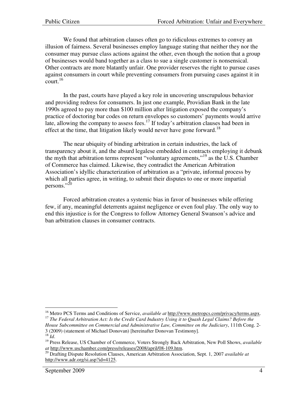We found that arbitration clauses often go to ridiculous extremes to convey an illusion of fairness. Several businesses employ language stating that neither they nor the consumer may pursue class actions against the other, even though the notion that a group of businesses would band together as a class to sue a single customer is nonsensical. Other contracts are more blatantly unfair. One provider reserves the right to pursue cases against consumers in court while preventing consumers from pursuing cases against it in court.<sup>16</sup>

In the past, courts have played a key role in uncovering unscrupulous behavior and providing redress for consumers. In just one example, Providian Bank in the late 1990s agreed to pay more than \$100 million after litigation exposed the company's practice of doctoring bar codes on return envelopes so customers' payments would arrive late, allowing the company to assess fees.<sup>17</sup> If today's arbitration clauses had been in effect at the time, that litigation likely would never have gone forward.<sup>18</sup>

The near ubiquity of binding arbitration in certain industries, the lack of transparency about it, and the absurd legalese embedded in contracts employing it debunk the myth that arbitration terms represent "voluntary agreements,"<sup>19</sup> as the U.S. Chamber of Commerce has claimed. Likewise, they contradict the American Arbitration Association's idyllic characterization of arbitration as a "private, informal process by which all parties agree, in writing, to submit their disputes to one or more impartial persons."<sup>20</sup>

Forced arbitration creates a systemic bias in favor of businesses while offering few, if any, meaningful deterrents against negligence or even foul play. The only way to end this injustice is for the Congress to follow Attorney General Swanson's advice and ban arbitration clauses in consumer contracts.

<sup>&</sup>lt;sup>16</sup> Metro PCS Terms and Conditions of Service, *available at* http://www.metropcs.com/privacy/terms.aspx. <sup>17</sup> *The Federal Arbitration Act: Is the Credit Card Industry Using it to Quash Legal Claims? Before the* 

*House Subcommittee on Commercial and Administrative Law, Committee on the Judiciary*, 111th Cong. 2- 3 (2009) (statement of Michael Donovan) [hereinafter Donovan Testimony].

<sup>18</sup> *Id*.

<sup>19</sup> Press Release, US Chamber of Commerce, Voters Strongly Back Arbitration, New Poll Shows, *available at* http://www.uschamber.com/press/releases/2008/april/08-109.htm.

<sup>20</sup> Drafting Dispute Resolution Clauses, American Arbitration Association, Sept. 1, 2007 *available at* http://www.adr.org/si.asp?id=4125.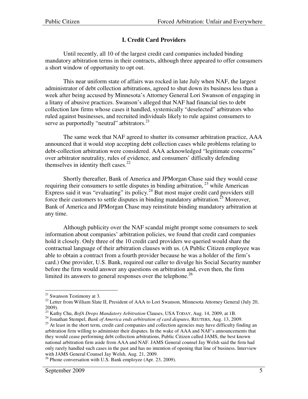# **I. Credit Card Providers**

Until recently, all 10 of the largest credit card companies included binding mandatory arbitration terms in their contracts, although three appeared to offer consumers a short window of opportunity to opt out.

This near uniform state of affairs was rocked in late July when NAF, the largest administrator of debt collection arbitrations, agreed to shut down its business less than a week after being accused by Minnesota's Attorney General Lori Swanson of engaging in a litany of abusive practices. Swanson's alleged that NAF had financial ties to debt collection law firms whose cases it handled, systemically "deselected" arbitrators who ruled against businesses, and recruited individuals likely to rule against consumers to serve as purportedly "neutral" arbitrators.<sup>21</sup>

The same week that NAF agreed to shutter its consumer arbitration practice, AAA announced that it would stop accepting debt collection cases while problems relating to debt-collection arbitration were considered. AAA acknowledged "legitimate concerns" over arbitrator neutrality, rules of evidence, and consumers' difficulty defending themselves in identity theft cases. $22$ 

Shortly thereafter, Bank of America and JPMorgan Chase said they would cease requiring their consumers to settle disputes in binding arbitration,  $^{23}$  while American Express said it was "evaluating" its policy.<sup>24</sup> But most major credit card providers still force their customers to settle disputes in binding mandatory arbitration.<sup>25</sup> Moreover, Bank of America and JPMorgan Chase may reinstitute binding mandatory arbitration at any time.

Although publicity over the NAF scandal might prompt some consumers to seek information about companies' arbitration policies, we found that credit card companies hold it closely. Only three of the 10 credit card providers we queried would share the contractual language of their arbitration clauses with us. (A Public Citizen employee was able to obtain a contract from a fourth provider because he was a holder of the firm's card.) One provider, U.S. Bank, required our caller to divulge his Social Security number before the firm would answer any questions on arbitration and, even then, the firm limited its answers to general responses over the telephone.<sup>26</sup>

 $21$  Swanson Testimony at 3.

<sup>&</sup>lt;sup>22</sup> Letter from William Slate II, President of AAA to Lori Swanson, Minnesota Attorney General (July 20, 2009).

<sup>23</sup> Kathy Chu, *BofA Drops Mandatory Arbitration* Clauses, USA TODAY, Aug. 14, 2009, at 1B.

<sup>24</sup> Jonathan Stempel, *Bank of America ends arbitration of card disputes*, REUTERS, Aug. 13, 2009.

<sup>&</sup>lt;sup>25</sup> At least in the short term, credit card companies and collection agencies may have difficulty finding an arbitration firm willing to administer their disputes. In the wake of AAA and NAF's announcements that they would cease performing debt collection arbitrations, Public Citizen called JAMS, the best known national arbitration firm aside from AAA and NAF. JAMS General counsel Jay Welsh said the firm had only rarely handled such cases in the past and has no intention of opening that line of business. Interview with JAMS General Counsel Jay Welsh, Aug. 21, 2009.

 $26$  Phone conversation with U.S. Bank employee (Apr. 23, 2009).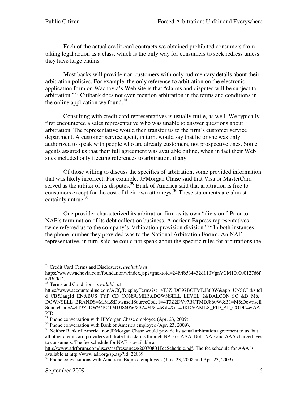Each of the actual credit card contracts we obtained prohibited consumers from taking legal action as a class, which is the only way for consumers to seek redress unless they have large claims.

Most banks will provide non-customers with only rudimentary details about their arbitration policies. For example, the only reference to arbitration on the electronic application form on Wachovia's Web site is that "claims and disputes will be subject to arbitration."<sup>27</sup> Citibank does not even mention arbitration in the terms and conditions in the online application we found.<sup>28</sup>

Consulting with credit card representatives is usually futile, as well. We typically first encountered a sales representative who was unable to answer questions about arbitration. The representative would then transfer us to the firm's customer service department. A customer service agent, in turn, would say that he or she was only authorized to speak with people who are already customers, not prospective ones. Some agents assured us that their full agreement was available online, when in fact their Web sites included only fleeting references to arbitration, if any.

Of those willing to discuss the specifics of arbitration, some provided information that was likely incorrect. For example, JPMorgan Chase said that Visa or MasterCard served as the arbiter of its disputes.<sup>29</sup> Bank of America said that arbitration is free to consumers except for the cost of their own attorneys. <sup>30</sup> These statements are almost certainly untrue.<sup>31</sup>

One provider characterized its arbitration firm as its own "division." Prior to NAF's termination of its debt collection business, American Express representatives twice referred us to the company's "arbitration provision division."<sup>32</sup> In both instances, the phone number they provided was to the National Arbitration Forum. An NAF representative, in turn, said he could not speak about the specific rules for arbitrations the

http://www.adrforum.com/users/naf/resources/20070801FeeSchedule.pdf. The fee schedule for AAA is available at http://www.adr.org/sp.asp?id=22039.

<sup>27</sup> Credit Card Terms and Disclosures, *available at*

https://www.wachovia.com/foundation/v/index.jsp?vgnextoid=24f9f6534432d110VgnVCM100000127d6f a2RCRD.

<sup>28</sup> Terms and Conditions, *available at*

https://www.accountonline.com/ACQ/DisplayTerms?sc=4T3Z1DG97BCTMDJ860W&app=UNSOL&siteI d=CB&langId=EN&BUS\_TYP\_CD=CONSUMER&DOWNSELL\_LEVEL=2&BALCON\_SC=&B=M& DOWNSELL\_BRANDS=M,M,&DownsellSourceCode1=4T3Z2DV97BCTMDJ860W&B1=M&Downsell SourceCode2=4T3Z3DW97BCTMDJ860W&B2=M&t=t&d=&uc=3KD&AMEX\_PID\_AF\_CODE=&AA  $PID=$ .

Phone conversation with JPMorgan Chase employee (Apr. 23, 2009).

<sup>&</sup>lt;sup>30</sup> Phone conversation with Bank of America employee (Apr. 23, 2009).

<sup>&</sup>lt;sup>31</sup> Neither Bank of America nor JPMorgan Chase would provide its actual arbitration agreement to us, but all other credit card providers arbitrated its claims through NAF or AAA. Both NAF and AAA charged fees to consumers. The fee schedule for NAF is available at

<sup>&</sup>lt;sup>32</sup> Phone conversations with American Express employees (June 23, 2008 and Apr. 23, 2009).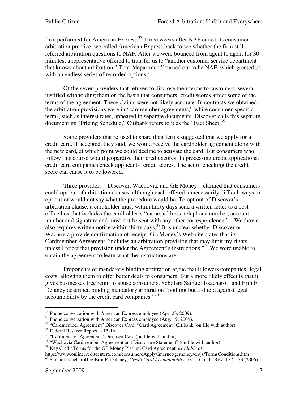firm performed for American Express.<sup>33</sup> Three weeks after NAF ended its consumer arbitration practice, we called American Express back to see whether the firm still referred arbitration questions to NAF. After we were bounced from agent to agent for 30 minutes, a representative offered to transfer us to "another customer service department that knows about arbitration." That "department" turned out to be NAF, which greeted us with an endless series of recorded options.<sup>34</sup>

Of the seven providers that refused to disclose their terms to customers, several justified withholding them on the basis that consumers' credit scores affect some of the terms of the agreement. These claims were not likely accurate. In contracts we obtained, the arbitration provisions were in "cardmember agreements," while consumer-specific terms, such as interest rates, appeared in separate documents. Discover calls this separate document its "Pricing Schedule," Citibank refers to it as the "Fact Sheet.<sup>35</sup>

Some providers that refused to share their terms suggested that we apply for a credit card. If accepted, they said, we would receive the cardholder agreement along with the new card, at which point we could decline to activate the card. But consumers who follow this course would jeopardize their credit scores. In processing credit applications, credit card companies check applicants' credit scores. The act of checking the credit score can cause it to be lowered.<sup>36</sup>

Three providers – Discover, Wachovia, and GE Money – claimed that consumers could opt out of arbitration clauses, although each offered unnecessarily difficult ways to opt out or would not say what the procedure would be. To opt out of Discover's arbitration clause, a cardholder must within thirty days send a written letter to a post office box that includes the cardholder's "name, address, telephone number, account number and signature and must not be sent with any other correspondence."<sup>37</sup> Wachovia also requires written notice within thirty days.<sup>38</sup> It is unclear whether Discover or Wachovia provide confirmation of receipt. GE Money's Web site states that its Cardmember Agreement "includes an arbitration provision that may limit my rights unless I reject that provision under the Agreement's instructions."<sup>39</sup> We were unable to obtain the agreement to learn what the instructions are.

Proponents of mandatory binding arbitration argue that it lowers companies' legal costs, allowing them to offer better deals to consumers. But a more likely effect is that it gives businesses free reign to abuse consumers. Scholars Samuel Issacharoff and Erin F. Delaney described binding mandatory arbitration "nothing but a shield against legal accountability by the credit card companies."<sup>40</sup>

 $33$  Phone conversation with American Express employee (Apr. 23, 2009).

 $34$  Phone conversation with American Express employee (Aug. 19, 2009).

<sup>35</sup> "Cardmember Agreement" Discover Card, "Card Agreement" Citibank (on file with author).

<sup>&</sup>lt;sup>36</sup> Federal Reserve Report at 15-16.

<sup>&</sup>lt;sup>37</sup> "Cardmember Agreement" Discover Card (on file with author).

<sup>&</sup>lt;sup>38</sup> "Wachovia Cardmember Agreement and Disclosure Statement" (on file with author).

<sup>39</sup> Key Credit Terms for the GE Money Platium Card Agreement, *available at* 

https://www.onlinecreditcenter6.com/consumereApply/Internet/gemoney/en/js/TermsConditions.htm <sup>40</sup> Samuel Issacharoff & Erin F. Delaney, *Credit Card Accountability*, 73 U. CHI. L. REV. 157, 173 (2006).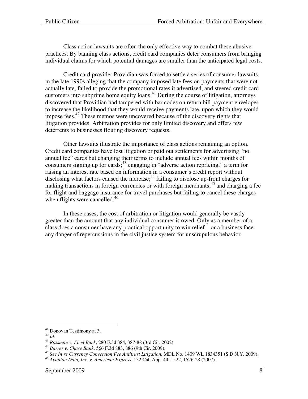Class action lawsuits are often the only effective way to combat these abusive practices. By banning class actions, credit card companies deter consumers from bringing individual claims for which potential damages are smaller than the anticipated legal costs.

Credit card provider Providian was forced to settle a series of consumer lawsuits in the late 1990s alleging that the company imposed late fees on payments that were not actually late, failed to provide the promotional rates it advertised, and steered credit card customers into subprime home equity loans.<sup>41</sup> During the course of litigation, attorneys discovered that Providian had tampered with bar codes on return bill payment envelopes to increase the likelihood that they would receive payments late, upon which they would impose fees.<sup>42</sup> These memos were uncovered because of the discovery rights that litigation provides. Arbitration provides for only limited discovery and offers few deterrents to businesses flouting discovery requests.

Other lawsuits illustrate the importance of class actions remaining an option. Credit card companies have lost litigation or paid out settlements for advertising "no annual fee" cards but changing their terms to include annual fees within months of consumers signing up for cards;  $43$  engaging in "adverse action repricing," a term for raising an interest rate based on information in a consumer's credit report without disclosing what factors caused the increase;<sup>44</sup> failing to disclose up-front charges for making transactions in foreign currencies or with foreign merchants;  $45$  and charging a fee for flight and baggage insurance for travel purchases but failing to cancel these charges when flights were cancelled.<sup>46</sup>

In these cases, the cost of arbitration or litigation would generally be vastly greater than the amount that any individual consumer is owed. Only as a member of a class does a consumer have any practical opportunity to win relief – or a business face any danger of repercussions in the civil justice system for unscrupulous behavior.

<sup>41</sup> Donovan Testimony at 3.

<sup>42</sup> *Id.*

<sup>43</sup> *Rossman v. Fleet Bank*, 280 F.3d 384, 387-88 (3rd Cir. 2002).

<sup>44</sup> *Barrer v. Chase Bank*, 566 F.3d 883, 886 (9th Cir. 2009).

<sup>45</sup> *See In re Currency Conversion Fee Antitrust Litigation*, MDL No. 1409 WL 1834351 (S.D.N.Y. 2009).

<sup>46</sup> *Aviation Data, Inc. v. American Express*, 152 Cal. App. 4th 1522, 1526-28 (2007).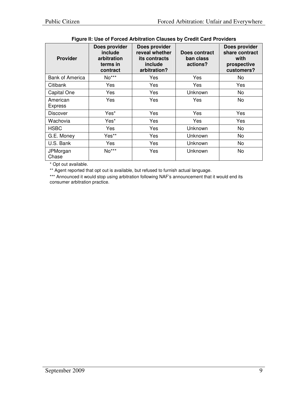| <b>Provider</b>            | Does provider<br>include<br>arbitration<br>terms in<br>contract | Does provider<br>reveal whether<br>its contracts<br>include<br>arbitration? | Does contract<br>ban class<br>actions? | Does provider<br>share contract<br>with<br>prospective<br>customers? |
|----------------------------|-----------------------------------------------------------------|-----------------------------------------------------------------------------|----------------------------------------|----------------------------------------------------------------------|
| <b>Bank of America</b>     | $No***$                                                         | Yes                                                                         | Yes                                    | No                                                                   |
| Citibank                   | Yes                                                             | Yes                                                                         | Yes                                    | Yes                                                                  |
| Capital One                | Yes                                                             | Yes                                                                         | Unknown                                | No                                                                   |
| American<br><b>Express</b> | Yes                                                             | Yes                                                                         | Yes                                    | No                                                                   |
| <b>Discover</b>            | Yes*                                                            | Yes                                                                         | Yes                                    | Yes                                                                  |
| Wachovia                   | Yes*                                                            | Yes                                                                         | Yes                                    | Yes                                                                  |
| <b>HSBC</b>                | Yes                                                             | Yes                                                                         | Unknown                                | No                                                                   |
| G.E. Money                 | Yes**                                                           | Yes                                                                         | Unknown                                | No                                                                   |
| U.S. Bank                  | Yes                                                             | Yes                                                                         | Unknown                                | No                                                                   |
| JPMorgan<br>Chase          | No***                                                           | Yes                                                                         | Unknown                                | No                                                                   |

#### **Figure II: Use of Forced Arbitration Clauses by Credit Card Providers**

\* Opt out available.

\*\* Agent reported that opt out is available, but refused to furnish actual language.

\*\*\* Announced it would stop using arbitration following NAF's announcement that it would end its consumer arbitration practice.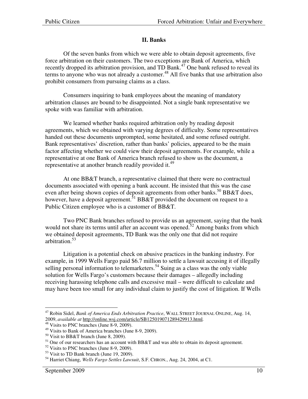### **II. Banks**

Of the seven banks from which we were able to obtain deposit agreements, five force arbitration on their customers. The two exceptions are Bank of America, which recently dropped its arbitration provision, and TD Bank.<sup>47</sup> One bank refused to reveal its terms to anyone who was not already a customer.<sup>48</sup> All five banks that use arbitration also prohibit consumers from pursuing claims as a class.

Consumers inquiring to bank employees about the meaning of mandatory arbitration clauses are bound to be disappointed. Not a single bank representative we spoke with was familiar with arbitration.

We learned whether banks required arbitration only by reading deposit agreements, which we obtained with varying degrees of difficulty. Some representatives handed out these documents unprompted, some hesitated, and some refused outright. Bank representatives' discretion, rather than banks' policies, appeared to be the main factor affecting whether we could view their deposit agreements. For example, while a representative at one Bank of America branch refused to show us the document, a representative at another branch readily provided it.<sup>49</sup>

At one BB&T branch, a representative claimed that there were no contractual documents associated with opening a bank account. He insisted that this was the case even after being shown copies of deposit agreements from other banks.<sup>50</sup> BB&T does, however, have a deposit agreement.<sup>51</sup> BB&T provided the document on request to a Public Citizen employee who is a customer of BB&T.

Two PNC Bank branches refused to provide us an agreement, saying that the bank would not share its terms until after an account was opened.<sup>52</sup> Among banks from which we obtained deposit agreements, TD Bank was the only one that did not require arbitration.<sup>53</sup>

Litigation is a potential check on abusive practices in the banking industry. For example, in 1999 Wells Fargo paid \$6.7 million to settle a lawsuit accusing it of illegally selling personal information to telemarketers.<sup>54</sup> Suing as a class was the only viable solution for Wells Fargo's customers because their damages – allegedly including receiving harassing telephone calls and excessive mail – were difficult to calculate and may have been too small for any individual claim to justify the cost of litigation. If Wells

<sup>47</sup> Robin Sidel, *Bank of America Ends Arbitration Practice*, WALL STREET JOURNAL ONLINE, Aug. 14, 2009, *available at* http://online.wsj.com/article/SB125019071289429913.html*.* 

<sup>&</sup>lt;sup>48</sup> Visits to PNC branches (June 8-9, 2009).

<sup>49</sup> Visits to Bank of America branches (June 8-9, 2009).

<sup>50</sup> Visit to BB&T branch (June 8, 2009).

 $51$  One of our researchers has an account with BB&T and was able to obtain its deposit agreement.

<sup>52</sup> Visits to PNC branches (June 8-9, 2009).

<sup>&</sup>lt;sup>53</sup> Visit to TD Bank branch (June 19, 2009).

<sup>54</sup> Harriet Chiang, *Wells Fargo Settles Lawsuit*, S.F. CHRON*.*, Aug. 24, 2004, at C1.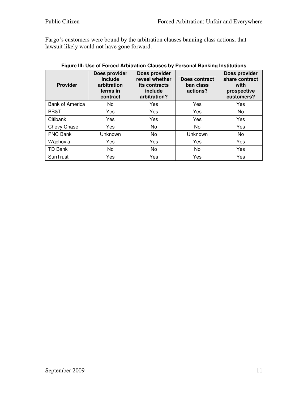Fargo's customers were bound by the arbitration clauses banning class actions, that lawsuit likely would not have gone forward.

| <b>Provider</b>        | Does provider<br>include<br>arbitration<br>terms in<br>contract | Does provider<br>reveal whether<br>its contracts<br>include<br>arbitration? | Does contract<br>ban class<br>actions? | Does provider<br>share contract<br>with<br>prospective<br>customers? |
|------------------------|-----------------------------------------------------------------|-----------------------------------------------------------------------------|----------------------------------------|----------------------------------------------------------------------|
| <b>Bank of America</b> | No.                                                             | Yes                                                                         | Yes                                    | Yes                                                                  |
| BB&T                   | Yes                                                             | Yes                                                                         | Yes                                    | No                                                                   |
| Citibank               | Yes                                                             | Yes                                                                         | Yes                                    | Yes                                                                  |
| Chevy Chase            | <b>Yes</b>                                                      | No                                                                          | No                                     | Yes                                                                  |
| <b>PNC Bank</b>        | Unknown                                                         | No                                                                          | Unknown                                | No                                                                   |
| Wachovia               | Yes                                                             | Yes                                                                         | Yes                                    | Yes                                                                  |
| TD Bank                | No.                                                             | No                                                                          | No                                     | Yes                                                                  |
| SunTrust               | Yes                                                             | Yes                                                                         | Yes                                    | Yes                                                                  |

#### **Figure III: Use of Forced Arbitration Clauses by Personal Banking Institutions**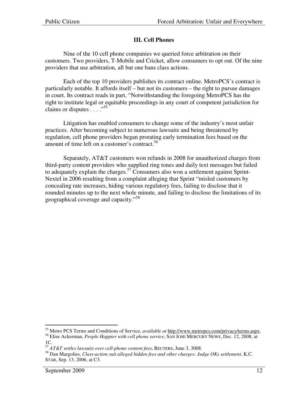## **III. Cell Phones**

Nine of the 10 cell phone companies we queried force arbitration on their customers. Two providers, T-Mobile and Cricket, allow consumers to opt out. Of the nine providers that use arbitration, all but one bans class actions.

Each of the top 10 providers publishes its contract online. MetroPCS's contract is particularly notable. It affords itself – but not its customers – the right to pursue damages in court. Its contract reads in part, "Notwithstanding the foregoing MetroPCS has the right to institute legal or equitable proceedings in any court of competent jurisdiction for claims or disputes  $\ldots$  ...<sup>55</sup>

Litigation has enabled consumers to change some of the industry's most unfair practices. After becoming subject to numerous lawsuits and being threatened by regulation, cell phone providers began prorating early termination fees based on the amount of time left on a customer's contract.<sup>56</sup>

Separately, AT&T customers won refunds in 2008 for unauthorized charges from third-party content providers who supplied ring tones and daily text messages but failed to adequately explain the charges.<sup>57</sup> Consumers also won a settlement against Sprint-Nextel in 2006 resulting from a complaint alleging that Sprint "misled customers by concealing rate increases, hiding various regulatory fees, failing to disclose that it rounded minutes up to the next whole minute, and failing to disclose the limitations of its geographical coverage and capacity."<sup>58</sup>

<sup>55</sup> Metro PCS Terms and Conditions of Service, *available at* http://www.metropcs.com/privacy/terms.aspx. <sup>56</sup> Elise Ackerman, *People Happier with cell phone service*, SAN JOSE MERCURY NEWS, Dec. 12, 2008, at

<sup>1</sup>C.

<sup>57</sup> *AT&T settles lawsuits over cell-phone content fees*, REUTERS, June 3, 3008.

<sup>58</sup> Dan Margolies, *Class-action suit alleged hidden fees and other charges: Judge OKs settlement*, K.C. STAR, Sep. 13, 2006, at C3.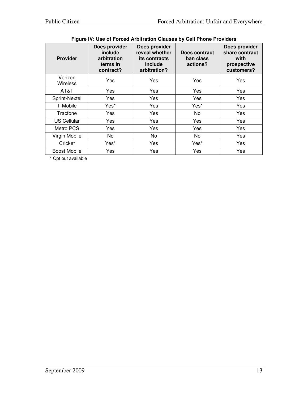| 000 011 01000 AUDIVIANON ORGOOD BY OUNT NONOT FORROLD |                                                                  |                                                                             |                                        |                                                                      |
|-------------------------------------------------------|------------------------------------------------------------------|-----------------------------------------------------------------------------|----------------------------------------|----------------------------------------------------------------------|
| <b>Provider</b>                                       | Does provider<br>include<br>arbitration<br>terms in<br>contract? | Does provider<br>reveal whether<br>its contracts<br>include<br>arbitration? | Does contract<br>ban class<br>actions? | Does provider<br>share contract<br>with<br>prospective<br>customers? |
| Verizon<br><b>Wireless</b>                            | Yes                                                              | Yes                                                                         | Yes                                    | Yes                                                                  |
| AT&T                                                  | Yes                                                              | Yes                                                                         | Yes                                    | Yes                                                                  |
| Sprint-Nextel                                         | Yes                                                              | Yes                                                                         | Yes                                    | Yes                                                                  |
| T-Mobile                                              | Yes*                                                             | Yes                                                                         | Yes*                                   | Yes                                                                  |
| Tracfone                                              | Yes                                                              | Yes                                                                         | <b>No</b>                              | Yes                                                                  |
| <b>US Cellular</b>                                    | Yes                                                              | Yes                                                                         | Yes                                    | Yes                                                                  |
| Metro PCS                                             | Yes                                                              | Yes                                                                         | Yes                                    | Yes                                                                  |
| Virgin Mobile                                         | No.                                                              | No                                                                          | No.                                    | Yes                                                                  |
| Cricket                                               | Yes*                                                             | Yes                                                                         | Yes*                                   | Yes                                                                  |
| <b>Boost Mobile</b>                                   | Yes                                                              | Yes                                                                         | Yes                                    | Yes                                                                  |

# **Figure IV: Use of Forced Arbitration Clauses by Cell Phone Providers**

\* Opt out available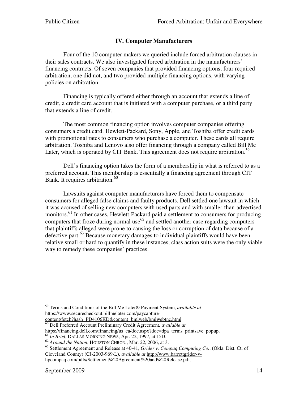# **IV. Computer Manufacturers**

Four of the 10 computer makers we queried include forced arbitration clauses in their sales contracts. We also investigated forced arbitration in the manufacturers' financing contracts. Of seven companies that provided financing options, four required arbitration, one did not, and two provided multiple financing options, with varying policies on arbitration.

Financing is typically offered either through an account that extends a line of credit, a credit card account that is initiated with a computer purchase, or a third party that extends a line of credit.

The most common financing option involves computer companies offering consumers a credit card. Hewlett-Packard, Sony, Apple, and Toshiba offer credit cards with promotional rates to consumers who purchase a computer. These cards all require arbitration. Toshiba and Lenovo also offer financing through a company called Bill Me Later, which is operated by CIT Bank. This agreement does not require arbitration.<sup>59</sup>

Dell's financing option takes the form of a membership in what is referred to as a preferred account. This membership is essentially a financing agreement through CIT Bank. It requires arbitration.<sup>60</sup>

Lawsuits against computer manufacturers have forced them to compensate consumers for alleged false claims and faulty products. Dell settled one lawsuit in which it was accused of selling new computers with used parts and with smaller-than-advertised monitors.<sup>61</sup> In other cases, Hewlett-Packard paid a settlement to consumers for producing computers that froze during normal use  $62$  and settled another case regarding computers that plaintiffs alleged were prone to causing the loss or corruption of data because of a defective part.<sup>63</sup> Because monetary damages to individual plaintiffs would have been relative small or hard to quantify in these instances, class action suits were the only viable way to remedy these companies' practices.

- content/fetch?hash=PD4106KD&content=bmlweb/bmlwebtnc.html
- <sup>60</sup> Dell Preferred Account Preliminary Credit Agreement*, available at* https://financing.dell.com/financing/us\_ca/doc.aspx?doc=dpa\_terms\_printsave\_popup.

<sup>63</sup> Settlement Agreement and Release at 40-41, *Grider v. Compaq Computing Co.*, (Okla. Dist. Ct. of Cleveland County) (CJ-2003-969-L), *available at* http://www.barrettgrider-vhpcompaq.com/pdfs/Settlement%20Agreement%20and%20Release.pdf.

 $\overline{a}$ <sup>59</sup> Terms and Conditions of the Bill Me Later® Payment System, *available at* https://www.securecheckout.billmelater.com/paycapture-

<sup>61</sup> *In Brief*, DALLAS MORNING NEWS, Apr. 22, 1997, at 15D.

<sup>62</sup> *Around the Nation*, HOUSTON CHRON*.*, Mar. 22, 2006, at 3.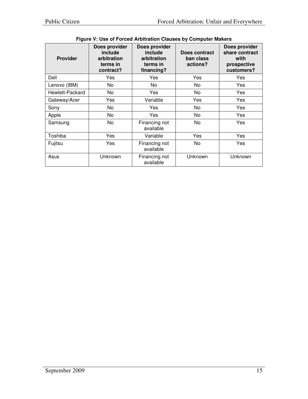| <b>Provider</b> | Does provider<br>include<br>arbitration<br>terms in<br>contract? | Does provider<br>include<br>arbitration<br>terms in<br>financing? | Does contract<br>ban class<br>actions? | Does provider<br>share contract<br>with<br>prospective<br>customers? |
|-----------------|------------------------------------------------------------------|-------------------------------------------------------------------|----------------------------------------|----------------------------------------------------------------------|
| Dell            | Yes                                                              | Yes                                                               | Yes                                    | Yes                                                                  |
| Lenovo (IBM)    | No                                                               | No                                                                | No                                     | Yes                                                                  |
| Hewlett-Packard | No.                                                              | Yes                                                               | No                                     | Yes                                                                  |
| Gateway/Acer    | Yes                                                              | Variable                                                          | Yes                                    | Yes                                                                  |
| Sony            | No.                                                              | Yes                                                               | No                                     | Yes                                                                  |
| Apple           | No                                                               | Yes                                                               | No                                     | Yes                                                                  |
| Samsung         | No                                                               | Financing not<br>available                                        | No                                     | Yes                                                                  |
| Toshiba         | Yes                                                              | Variable                                                          | Yes                                    | Yes                                                                  |
| Fujitsu         | Yes                                                              | Financing not<br>available                                        | No                                     | Yes                                                                  |
| Asus            | Unknown                                                          | Financing not<br>available                                        | Unknown                                | Unknown                                                              |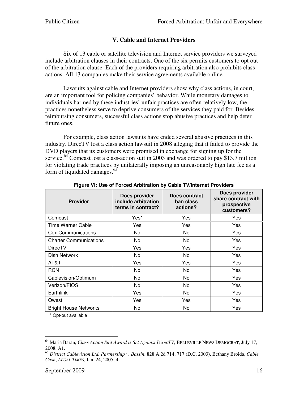## **V. Cable and Internet Providers**

Six of 13 cable or satellite television and Internet service providers we surveyed include arbitration clauses in their contracts. One of the six permits customers to opt out of the arbitration clause. Each of the providers requiring arbitration also prohibits class actions. All 13 companies make their service agreements available online.

Lawsuits against cable and Internet providers show why class actions, in court, are an important tool for policing companies' behavior. While monetary damages to individuals harmed by these industries' unfair practices are often relatively low, the practices nonetheless serve to deprive consumers of the services they paid for. Besides reimbursing consumers, successful class actions stop abusive practices and help deter future ones.

For example, class action lawsuits have ended several abusive practices in this industry. DirecTV lost a class action lawsuit in 2008 alleging that it failed to provide the DVD players that its customers were promised in exchange for signing up for the service.<sup>64</sup> Comcast lost a class-action suit in 2003 and was ordered to pay \$13.7 million for violating trade practices by unilaterally imposing an unreasonably high late fee as a form of liquidated damages.<sup>65</sup>

| <b>Provider</b>               | Does provider<br>include arbitration<br>terms in contract? | Does contract<br>ban class<br>actions? | Does provider<br>share contract with<br>prospective<br>customers? |
|-------------------------------|------------------------------------------------------------|----------------------------------------|-------------------------------------------------------------------|
| Comcast                       | Yes*                                                       | Yes                                    | Yes                                                               |
| Time Warner Cable             | Yes                                                        | Yes                                    | Yes                                                               |
| Cox Communications            | No                                                         | No                                     | Yes                                                               |
| <b>Charter Communications</b> | No                                                         | No                                     | Yes                                                               |
| <b>DirecTV</b>                | Yes                                                        | Yes                                    | Yes                                                               |
| Dish Network                  | No                                                         | No                                     | Yes                                                               |
| AT&T                          | Yes                                                        | Yes                                    | Yes                                                               |
| <b>RCN</b>                    | No                                                         | No                                     | Yes                                                               |
| Cablevision/Optimum           | No                                                         | No                                     | Yes                                                               |
| Verizon/FIOS                  | No                                                         | No                                     | Yes                                                               |
| Earthlink                     | Yes                                                        | No                                     | Yes                                                               |
| Qwest                         | Yes                                                        | Yes                                    | Yes                                                               |
| <b>Bright House Networks</b>  | No                                                         | No                                     | Yes                                                               |

**Figure VI: Use of Forced Arbitration by Cable TV/Internet Providers**

\* Opt-out available

 $\overline{a}$ <sup>64</sup> Maria Baran, *Class Action Suit Award is Set Against DirecTV*, BELLEVILLE NEWS DEMOCRAT, July 17, 2008, A1.

<sup>65</sup> *District Cablevision Ltd. Partnership v. Bassin*, 828 A.2d 714, 717 (D.C. 2003), Bethany Broida, *Cable Cash*, *LEGAL TIMES*, Jan. 24, 2005, 4.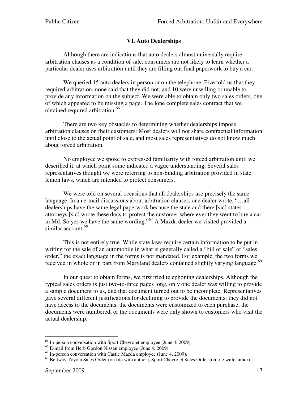## **VI. Auto Dealerships**

Although there are indications that auto dealers almost universally require arbitration clauses as a condition of sale, consumers are not likely to learn whether a particular dealer uses arbitration until they are filling out final paperwork to buy a car.

We queried 15 auto dealers in person or on the telephone. Five told us that they required arbitration, none said that they did not, and 10 were unwilling or unable to provide any information on the subject. We were able to obtain only two sales orders, one of which appeared to be missing a page. The lone complete sales contract that we obtained required arbitration.<sup>66</sup>

There are two key obstacles to determining whether dealerships impose arbitration clauses on their customers: Most dealers will not share contractual information until close to the actual point of sale, and most sales representatives do not know much about forced arbitration.

No employee we spoke to expressed familiarity with forced arbitration until we described it, at which point some indicated a vague understanding. Several sales representatives thought we were referring to non-binding arbitration provided in state lemon laws, which are intended to protect consumers.

We were told on several occasions that all dealerships use precisely the same language. In an e-mail discussions about arbitration clauses, one dealer wrote, "…all dealerships have the same legal paperwork because the state and there [sic] states attorneys [sic] wrote these docs to protect the customer where ever they went to buy a car in Md. So yes we have the same wording."<sup>67</sup> A Mazda dealer we visited provided a similar account.<sup>68</sup>

This is not entirely true. While state laws require certain information to be put in writing for the sale of an automobile in what is generally called a "bill of sale" or "sales" order," the exact language in the forms is not mandated. For example, the two forms we received in whole or in part from Maryland dealers contained slightly varying language.<sup>69</sup>

In our quest to obtain forms, we first tried telephoning dealerships. Although the typical sales orders is just two-to-three pages long, only one dealer was willing to provide a sample document to us, and that document turned out to be incomplete. Representatives gave several different justifications for declining to provide the documents: they did not have access to the documents, the documents were customized to each purchase, the documents were numbered, or the documents were only shown to customers who visit the actual dealership.

 $\overline{a}$  $66$  In-person conversation with Sport Chevrolet employee (June 4, 2009).

 $67$  E-mail from Herb Gordon Nissan employee (June 4, 2009).

 $^{68}$  In-person conversation with Castle Mazda employee (June 4, 2009).

<sup>&</sup>lt;sup>69</sup> Beltway Toyota Sales Order (on file with author), Sport Chevrolet Sales Order (on file with author).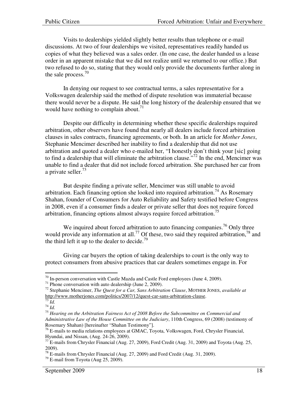Visits to dealerships yielded slightly better results than telephone or e-mail discussions. At two of four dealerships we visited, representatives readily handed us copies of what they believed was a sales order. (In one case, the dealer handed us a lease order in an apparent mistake that we did not realize until we returned to our office.) But two refused to do so, stating that they would only provide the documents further along in the sale process. $70$ 

In denying our request to see contractual terms, a sales representative for a Volkswagen dealership said the method of dispute resolution was immaterial because there would never be a dispute. He said the long history of the dealership ensured that we would have nothing to complain about.<sup>71</sup>

Despite our difficulty in determining whether these specific dealerships required arbitration, other observers have found that nearly all dealers include forced arbitration clauses in sales contracts, financing agreements, or both. In an article for *Mother Jones*, Stephanie Mencimer described her inability to find a dealership that did not use arbitration and quoted a dealer who e-mailed her, "I honestly don't think your [sic] going to find a dealership that will eliminate the arbitration clause.<sup> $272$ </sup> In the end, Mencimer was unable to find a dealer that did not include forced arbitration. She purchased her car from a private seller. $^{73}$ 

But despite finding a private seller, Mencimer was still unable to avoid arbitration. Each financing option she looked into required arbitration.<sup>74</sup> As Rosemary Shahan, founder of Consumers for Auto Reliability and Safety testified before Congress in 2008, even if a consumer finds a dealer or private seller that does not require forced arbitration, financing options almost always require forced arbitration.<sup>75</sup>

We inquired about forced arbitration to auto financing companies.<sup>76</sup> Only three would provide any information at all.<sup>77</sup> Of these, two said they required arbitration,<sup>78</sup> and the third left it up to the dealer to decide.<sup>79</sup>

Giving car buyers the option of taking dealerships to court is the only way to protect consumers from abusive practices that car dealers sometimes engage in. For

 $\overline{a}$  $70$  In-person conversation with Castle Mazda and Castle Ford employees (June 4, 2009).

 $71$  Phone conversation with auto dealership (June 2, 2009).

<sup>72</sup> Stephanie Mencimer, *The Quest for a Car, Sans Arbitration Clause*, MOTHER JONES, *available at*  http://www.motherjones.com/politics/2007/12/quest-car-sans-arbitration-clause.

 $\overline{\hspace{.1em}^{3} d.}$ 

<sup>74</sup> *Id.*

<sup>75</sup> *Hearing on the Arbitration Fairness Act of 2008 Before the Subcommittee on Commercial and Administrative Law of the House Committee on the Judiciary*, 110th Congress, 69 (2008) (testimony of Rosemary Shahan) [hereinafter "Shahan Testimony"].

 $^{76}$  E-mails to media relations employees at GMAC, Toyota, Volkswagen, Ford, Chrysler Financial, Hyundai, and Nissan, (Aug. 24-26, 2009).

 $^{77}$  E-mails from Chrysler Financial (Aug. 27, 2009), Ford Credit (Aug. 31, 2009) and Toyota (Aug. 25, 2009).

<sup>78</sup> E-mails from Chrysler Financial (Aug. 27, 2009) and Ford Credit (Aug. 31, 2009).

 $79$  E-mail from Toyota (Aug 25, 2009).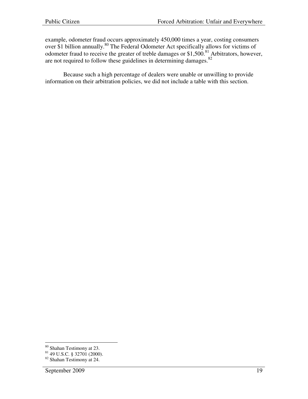example, odometer fraud occurs approximately 450,000 times a year, costing consumers over \$1 billion annually.<sup>80</sup> The Federal Odometer Act specifically allows for victims of odometer fraud to receive the greater of treble damages or \$1,500.<sup>81</sup> Arbitrators, however, are not required to follow these guidelines in determining damages.<sup>82</sup>

Because such a high percentage of dealers were unable or unwilling to provide information on their arbitration policies, we did not include a table with this section.

 $\overline{a}$ <sup>80</sup> Shahan Testimony at 23.

 $81$  49 U.S.C. § 32701 (2000).

<sup>82</sup> Shahan Testimony at 24.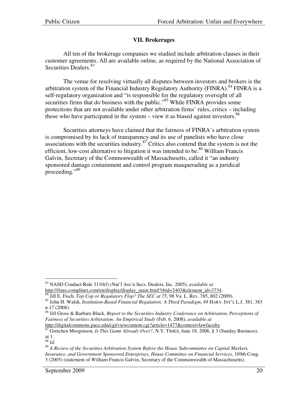## **VII. Brokerages**

All ten of the brokerage companies we studied include arbitration clauses in their customer agreements. All are available online, as required by the National Association of Securities Dealers.<sup>83</sup>

The venue for resolving virtually all disputes between investors and brokers is the arbitration system of the Financial Industry Regulatory Authority (FINRA).<sup>84</sup> FINRA is a self-regulatory organization and "is responsible for the regulatory oversight of all securities firms that do business with the public."<sup>85</sup> While FINRA provides some protections that are not available under other arbitration firms' rules, critics – including those who have participated in the system  $-$  view it as biased against investors.<sup>86</sup>

Securities attorneys have claimed that the fairness of FINRA's arbitration system is compromised by its lack of transparency and its use of panelists who have close associations with the securities industry. $8^{37}$  Critics also contend that the system is not the efficient, low-cost alternative to litigation it was intended to be.<sup>88</sup> William Francis Galvin, Secretary of the Commonwealth of Massachusetts, called it "an industry sponsored damage containment and control program masquerading as a juridical proceeding."<sup>89</sup>

 $\overline{a}$ <sup>83</sup> NASD Conduct Rule 3110(f) (Nat'l Ass'n Secs. Dealers, Inc. 2005), *available at* http://finra.complinet.com/en/display/display\_main.html?rbid=2403&element\_id=3734.

<sup>&</sup>lt;sup>4</sup> Jill E. Fisch, *Top Cop or Regulatory Flop? The SEC at 75*, 98 Va. L. Rev. 785, 802 (2009).

<sup>85</sup> John H. Walsh, *Institution-Based Financial Regulation: A Third Paradigm*, 49 HARV. INT'L L.J. 381, 383 n.17 (2008).

<sup>86</sup> Jill Gross & Barbara Black, *Report to the Securities Industry Conference on Arbitration, Perceptions of Fairness of Securities Arbitration: An Empirical Study* (Feb. 6, 2008), *available at*

http://digitalcommons.pace.edu/cgi/viewcontent.cgi?article=1477&context=lawfaculty.

<sup>87</sup> Gretchen Morgenson, *Is This Game Already Over?*, N.Y. TIMES, June 18, 2006, § 3 (Sunday Business), at 1.

<sup>88</sup> *Id.*

<sup>89</sup> *A Review of the Securities Arbitration System Before the House Subcommittee on Capital Markets, Insurance, and Government Sponsored Enterprises, House Committee on Financial Services*, 109th Cong. 3 (2005) (statement of William Francis Galvin, Secretary of the Commonwealth of Massachusetts).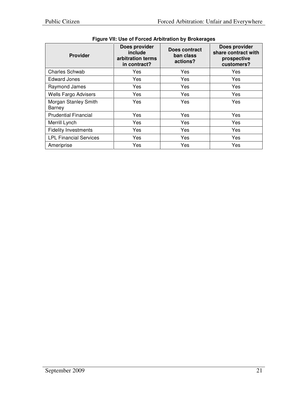| <b>Provider</b>                | Does provider<br>include<br>arbitration terms<br>in contract? | Does contract<br>ban class<br>actions? | Does provider<br>share contract with<br>prospective<br>customers? |
|--------------------------------|---------------------------------------------------------------|----------------------------------------|-------------------------------------------------------------------|
| <b>Charles Schwab</b>          | Yes                                                           | Yes                                    | Yes                                                               |
| <b>Edward Jones</b>            | Yes                                                           | Yes                                    | Yes                                                               |
| Raymond James                  | Yes                                                           | Yes                                    | Yes                                                               |
| <b>Wells Fargo Advisers</b>    | Yes                                                           | Yes                                    | Yes                                                               |
| Morgan Stanley Smith<br>Barney | Yes                                                           | Yes                                    | Yes                                                               |
| <b>Prudential Financial</b>    | Yes                                                           | Yes                                    | Yes                                                               |
| Merrill Lynch                  | Yes                                                           | Yes                                    | Yes                                                               |
| <b>Fidelity Investments</b>    | Yes                                                           | Yes                                    | Yes                                                               |
| <b>LPL Financial Services</b>  | Yes                                                           | Yes                                    | Yes                                                               |
| Ameriprise                     | Yes                                                           | Yes                                    | Yes                                                               |

# **Figure VII: Use of Forced Arbitration by Brokerages**